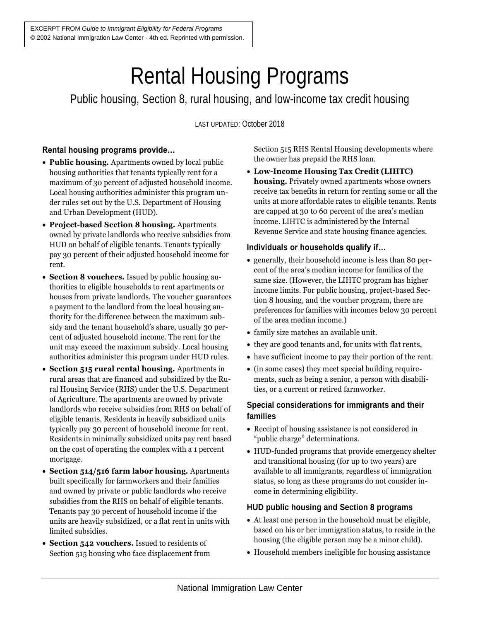# Rental Housing Programs

Public housing, Section 8, rural housing, and low-income tax credit housing

LAST UPDATED: October 2018

# **Rental housing programs provide…**

- **Public housing.** Apartments owned by local public housing authorities that tenants typically rent for a maximum of 30 percent of adjusted household income. Local housing authorities administer this program under rules set out by the U.S. Department of Housing and Urban Development (HUD).
- **Project-based Section 8 housing.** Apartments owned by private landlords who receive subsidies from HUD on behalf of eligible tenants. Tenants typically pay 30 percent of their adjusted household income for rent.
- **Section 8 vouchers.** Issued by public housing authorities to eligible households to rent apartments or houses from private landlords. The voucher guarantees a payment to the landlord from the local housing authority for the difference between the maximum subsidy and the tenant household's share, usually 30 percent of adjusted household income. The rent for the unit may exceed the maximum subsidy. Local housing authorities administer this program under HUD rules.
- **Section 515 rural rental housing.** Apartments in rural areas that are financed and subsidized by the Rural Housing Service (RHS) under the U.S. Department of Agriculture. The apartments are owned by private landlords who receive subsidies from RHS on behalf of eligible tenants. Residents in heavily subsidized units typically pay 30 percent of household income for rent. Residents in minimally subsidized units pay rent based on the cost of operating the complex with a 1 percent mortgage.
- **Section 514/516 farm labor housing.** Apartments built specifically for farmworkers and their families and owned by private or public landlords who receive subsidies from the RHS on behalf of eligible tenants. Tenants pay 30 percent of household income if the units are heavily subsidized, or a flat rent in units with limited subsidies.
- **Section 542 vouchers.** Issued to residents of Section 515 housing who face displacement from

Section 515 RHS Rental Housing developments where the owner has prepaid the RHS loan.

• **Low-Income Housing Tax Credit (LIHTC) housing.** Privately owned apartments whose owners receive tax benefits in return for renting some or all the units at more affordable rates to eligible tenants. Rents are capped at 30 to 60 percent of the area's median income. LIHTC is administered by the Internal Revenue Service and state housing finance agencies.

#### **Individuals or households qualify if…**

- generally, their household income is less than 80 percent of the area's median income for families of the same size. (However, the LIHTC program has higher income limits. For public housing, project-based Section 8 housing, and the voucher program, there are preferences for families with incomes below 30 percent of the area median income.)
- family size matches an available unit.
- they are good tenants and, for units with flat rents,
- have sufficient income to pay their portion of the rent.
- (in some cases) they meet special building requirements, such as being a senior, a person with disabilities, or a current or retired farmworker.

## **Special considerations for immigrants and their families**

- Receipt of housing assistance is not considered in "public charge" determinations.
- HUD-funded programs that provide emergency shelter and transitional housing (for up to two years) are available to all immigrants, regardless of immigration status, so long as these programs do not consider income in determining eligibility.

### **HUD public housing and Section 8 programs**

- At least one person in the household must be eligible, based on his or her immigration status, to reside in the housing (the eligible person may be a minor child).
- Household members ineligible for housing assistance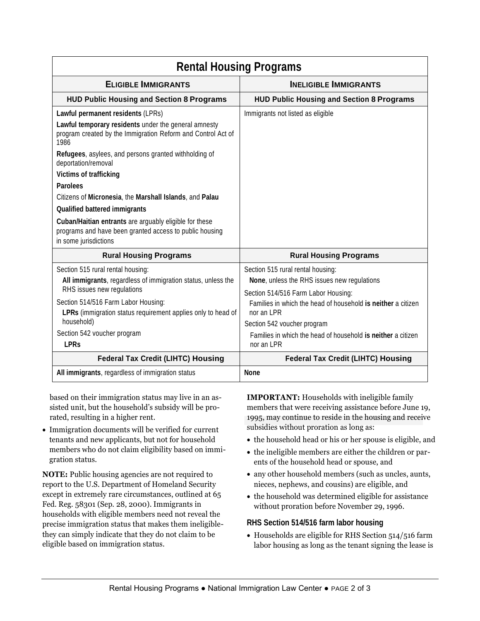| <b>Rental Housing Programs</b>                                                                                                             |                                                                                                     |
|--------------------------------------------------------------------------------------------------------------------------------------------|-----------------------------------------------------------------------------------------------------|
| <b>ELIGIBLE IMMIGRANTS</b>                                                                                                                 | <b>INELIGIBLE IMMIGRANTS</b>                                                                        |
| <b>HUD Public Housing and Section 8 Programs</b>                                                                                           | <b>HUD Public Housing and Section 8 Programs</b>                                                    |
| Lawful permanent residents (LPRs)                                                                                                          | Immigrants not listed as eligible                                                                   |
| Lawful temporary residents under the general amnesty<br>program created by the Immigration Reform and Control Act of<br>1986               |                                                                                                     |
| Refugees, asylees, and persons granted withholding of<br>deportation/removal                                                               |                                                                                                     |
| <b>Victims of trafficking</b>                                                                                                              |                                                                                                     |
| <b>Parolees</b>                                                                                                                            |                                                                                                     |
| Citizens of Micronesia, the Marshall Islands, and Palau                                                                                    |                                                                                                     |
| <b>Qualified battered immigrants</b>                                                                                                       |                                                                                                     |
| Cuban/Haitian entrants are arguably eligible for these<br>programs and have been granted access to public housing<br>in some jurisdictions |                                                                                                     |
| <b>Rural Housing Programs</b>                                                                                                              | <b>Rural Housing Programs</b>                                                                       |
| Section 515 rural rental housing:<br>All immigrants, regardless of immigration status, unless the<br>RHS issues new regulations            | Section 515 rural rental housing:<br>None, unless the RHS issues new regulations                    |
| Section 514/516 Farm Labor Housing:                                                                                                        | Section 514/516 Farm Labor Housing:<br>Families in which the head of household is neither a citizen |
| LPRs (immigration status requirement applies only to head of                                                                               | nor an LPR                                                                                          |
| household)                                                                                                                                 | Section 542 voucher program                                                                         |
| Section 542 voucher program<br><b>LPRs</b>                                                                                                 | Families in which the head of household is neither a citizen<br>nor an LPR                          |
| <b>Federal Tax Credit (LIHTC) Housing</b>                                                                                                  | <b>Federal Tax Credit (LIHTC) Housing</b>                                                           |
| All immigrants, regardless of immigration status                                                                                           | <b>None</b>                                                                                         |

based on their immigration status may live in an assisted unit, but the household's subsidy will be prorated, resulting in a higher rent.

• Immigration documents will be verified for current tenants and new applicants, but not for household members who do not claim eligibility based on immigration status.

**NOTE:** Public housing agencies are not required to report to the U.S. Department of Homeland Security except in extremely rare circumstances, outlined at 65 Fed. Reg. 58301 (Sep. 28, 2000). Immigrants in households with eligible members need not reveal the precise immigration status that makes them ineligiblethey can simply indicate that they do not claim to be eligible based on immigration status.

**IMPORTANT:** Households with ineligible family members that were receiving assistance before June 19, 1995, may continue to reside in the housing and receive subsidies without proration as long as:

- the household head or his or her spouse is eligible, and
- the ineligible members are either the children or parents of the household head or spouse, and
- any other household members (such as uncles, aunts, nieces, nephews, and cousins) are eligible, and
- the household was determined eligible for assistance without proration before November 29, 1996.

### **RHS Section 514/516 farm labor housing**

• Households are eligible for RHS Section 514/516 farm labor housing as long as the tenant signing the lease is